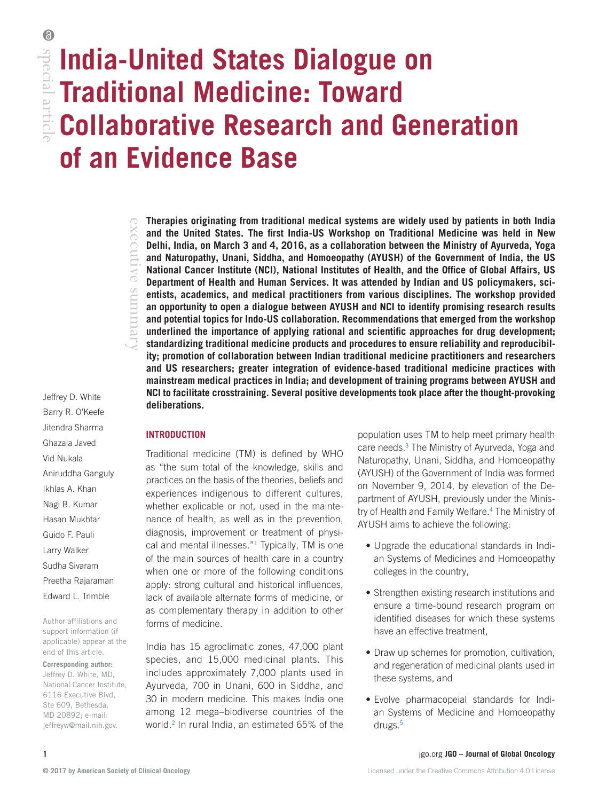# special articl **India-United States Dialogue on**  special article **Traditional Medicine: Toward Collaborative Research and Generation of an Evidence Base**

Jeffrey D. White Barry R. O'Keefe Jitendra Sharma Ghazala Javed Vid Nukala Aniruddha Ganguly Ikhlas A. Khan Nagi B. Kumar Hasan Mukhtar Guido F. Pauli Larry Walker Sudha Sivaram Preetha Rajaraman

Author affiliations and support information (if applicable) appear at the end of this article.

Edward L. Trimble

**Corresponding author:** Jeffrey D. White, MD, National Cancer Institute, 6116 Executive Blvd, Ste 609, Bethesda, MD 20892; e-mail: [jeffreyw@mail.nih.gov.](mailto:jeffreyw@mail.nih.gov)

**Therapies originating from traditional medical systems are widely used by patients in both India and the United States. The first India-US Workshop on Traditional Medicine was held in New Delhi, India, on March 3 and 4, 2016, as a collaboration between the Ministry of Ayurveda, Yoga and Naturopathy, Unani, Siddha, and Homoeopathy (AYUSH) of the Government of India, the US National Cancer Institute (NCI), National Institutes of Health, and the Office of Global Affairs, US Department of Health and Human Services. It was attended by Indian and US policymakers, scientists, academics, and medical practitioners from various disciplines. The workshop provided an opportunity to open a dialogue between AYUSH and NCI to identify promising research results and potential topics for Indo-US collaboration. Recommendations that emerged from the workshop underlined the importance of applying rational and scientific approaches for drug development; standardizing traditional medicine products and procedures to ensure reliability and reproducibility; promotion of collaboration between Indian traditional medicine practitioners and researchers and US researchers; greater integration of evidence-based traditional medicine practices with mainstream medical practices in India; and development of training programs between AYUSH and NCI to facilitate crosstraining. Several positive developments took place after the thought-provoking deliberations.**

## **INTRODUCTION**

executive summary

retututns

xecutive

Traditional medicine (TM) is defined by WHO as "the sum total of the knowledge, skills and practices on the basis of the theories, beliefs and experiences indigenous to different cultures, whether explicable or not, used in the maintenance of health, as well as in the prevention, diagnosis, improvement or treatment of physi-cal and mental illnesses."<sup>[1](#page-9-0)</sup> Typically, TM is one of the main sources of health care in a country when one or more of the following conditions apply: strong cultural and historical influences, lack of available alternate forms of medicine, or as complementary therapy in addition to other forms of medicine.

India has 15 agroclimatic zones, 47,000 plant species, and 15,000 medicinal plants. This includes approximately 7,000 plants used in Ayurveda, 700 in Unani, 600 in Siddha, and 30 in modern medicine. This makes India one among 12 mega–biodiverse countries of the world.<sup>[2](#page-9-1)</sup> In rural India, an estimated 65% of the

population uses TM to help meet primary health care needs.<sup>3</sup> The Ministry of Ayurveda, Yoga and Naturopathy, Unani, Siddha, and Homoeopathy (AYUSH) of the Government of India was formed on November 9, 2014, by elevation of the Department of AYUSH, previously under the Ministry of Health and Family Welfare.[4](#page-9-3) The Ministry of AYUSH aims to achieve the following:

- Upgrade the educational standards in Indian Systems of Medicines and Homoeopathy colleges in the country,
- Strengthen existing research institutions and ensure a time-bound research program on identified diseases for which these systems have an effective treatment,
- Draw up schemes for promotion, cultivation, and regeneration of medicinal plants used in these systems, and
- Evolve pharmacopeial standards for Indian Systems of Medicine and Homoeopathy drugs.<sup>[5](#page-9-4)</sup>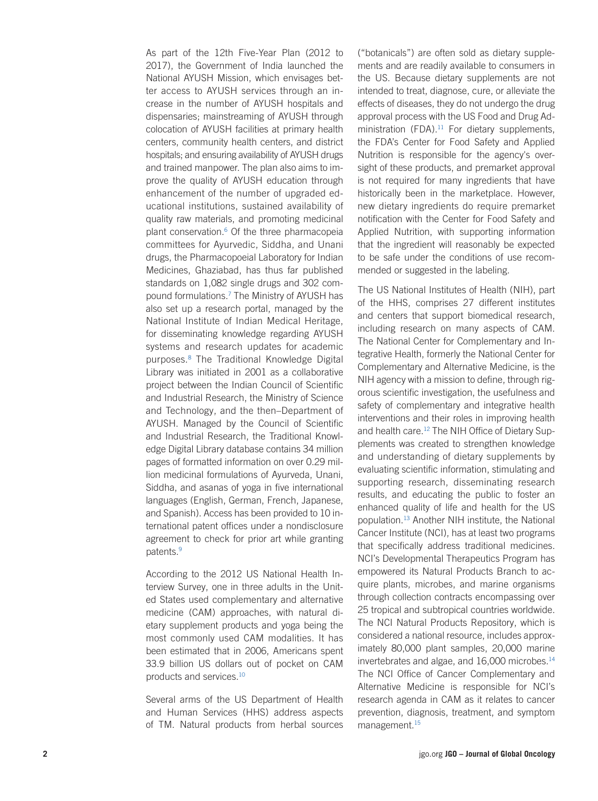As part of the 12th Five-Year Plan (2012 to 2017), the Government of India launched the National AYUSH Mission, which envisages bet ter access to AYUSH services through an in crease in the number of AYUSH hospitals and dispensaries; mainstreaming of AYUSH through colocation of AYUSH facilities at primary health centers, community health centers, and district hospitals; and ensuring availability of AYUSH drugs and trained manpower. The plan also aims to im prove the quality of AYUSH education through enhancement of the number of upgraded ed ucational institutions, sustained availability of quality raw materials, and promoting medicinal plant conservation. [6](#page-9-5) Of the three pharmacopeia committees for Ayurvedic, Siddha, and Unani drugs, the Pharmacopoeial Laboratory for Indian Medicines, Ghaziabad, has thus far published standards on 1,082 single drugs and 302 com pound formulations. [7](#page-9-6) The Ministry of AYUSH has also set up a research portal, managed by the National Institute of Indian Medical Heritage, for disseminating knowledge regarding AYUSH systems and research updates for academic purposes. [8](#page-9-7) The Traditional Knowledge Digital Library was initiated in 2001 as a collaborative project between the Indian Council of Scientific and Industrial Research, the Ministry of Science and Technology, and the then–Department of AYUSH. Managed by the Council of Scientific and Industrial Research, the Traditional Knowl edge Digital Library database contains 34 million pages of formatted information on over 0.29 mil lion medicinal formulations of Ayurveda, Unani, Siddha, and asanas of yoga in five international languages (English, German, French, Japanese, and Spanish). Access has been provided to 10 in ternational patent offices under a nondisclosure agreement to check for prior art while granting patents. [9](#page-9-8)

According to the 2012 US National Health In terview Survey, one in three adults in the Unit ed States used complementary and alternative medicine (CAM) approaches, with natural di etary supplement products and yoga being the most commonly used CAM modalities. It has been estimated that in 2006, Americans spent 33.9 billion US dollars out of pocket on CAM products and services[.10](#page-9-9)

Several arms of the US Department of Health and Human Services (HHS) address aspects of TM. Natural products from herbal sources

("botanicals") are often sold as dietary supple ments and are readily available to consumers in the US. Because dietary supplements are not intended to treat, diagnose, cure, or alleviate the effects of diseases, they do not undergo the drug approval process with the US Food and Drug Ad ministration (FDA). $11$  For dietary supplements, the FDA's Center for Food Safety and Applied Nutrition is responsible for the agency's over sight of these products, and premarket approval is not required for many ingredients that have historically been in the marketplace. However, new dietary ingredients do require premarket notification with the Center for Food Safety and Applied Nutrition, with supporting information that the ingredient will reasonably be expected to be safe under the conditions of use recom mended or suggested in the labeling.

The US National Institutes of Health (NIH), part of the HHS, comprises 27 different institutes and centers that support biomedical research, including research on many aspects of CAM. The National Center for Complementary and In tegrative Health, formerly the National Center for Complementary and Alternative Medicine, is the NIH agency with a mission to define, through rig orous scientific investigation, the usefulness and safety of complementary and integrative health interventions and their roles in improving health and health care.<sup>12</sup> The NIH Office of Dietary Supplements was created to strengthen knowledge and understanding of dietary supplements by evaluating scientific information, stimulating and supporting research, disseminating research results, and educating the public to foster an enhanced quality of life and health for the US population.[13](#page-9-12) Another NIH institute, the National Cancer Institute (NCI), has at least two programs that specifically address traditional medicines. NCI's Developmental Therapeutics Program has empowered its Natural Products Branch to ac quire plants, microbes, and marine organisms through collection contracts encompassing over 25 tropical and subtropical countries worldwide. The NCI Natural Products Repository, which is considered a national resource, includes approx imately 80,000 plant samples, 20,000 marine invertebrates and algae, and 16,000 microbes[.14](#page-9-13) The NCI Office of Cancer Complementary and Alternative Medicine is responsible for NCI's research agenda in CAM as it relates to cancer prevention, diagnosis, treatment, and symptom management[.15](#page-9-14)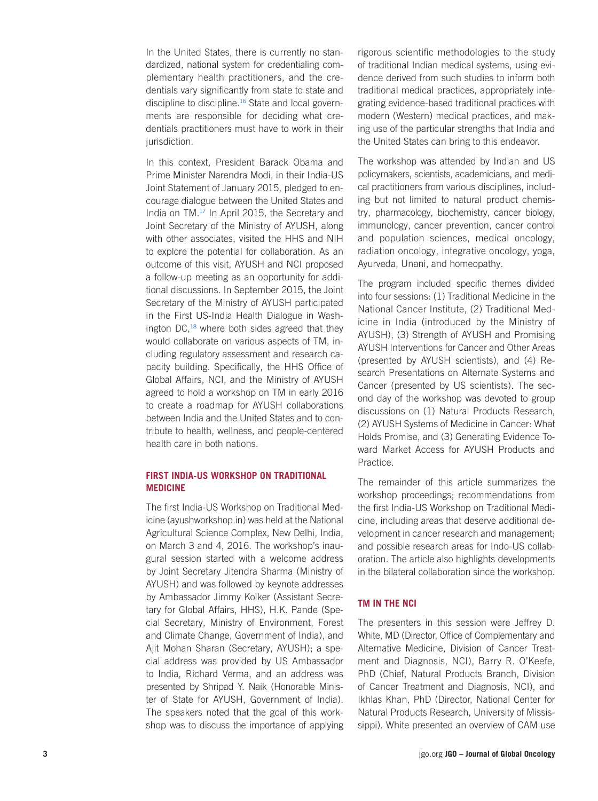In the United States, there is currently no standardized, national system for credentialing complementary health practitioners, and the credentials vary significantly from state to state and discipline to discipline[.16](#page-9-15) State and local governments are responsible for deciding what credentials practitioners must have to work in their jurisdiction.

In this context, President Barack Obama and Prime Minister Narendra Modi, in their India-US Joint Statement of January 2015, pledged to encourage dialogue between the United States and India on TM[.17](#page-9-16) In April 2015, the Secretary and Joint Secretary of the Ministry of AYUSH, along with other associates, visited the HHS and NIH to explore the potential for collaboration. As an outcome of this visit, AYUSH and NCI proposed a follow-up meeting as an opportunity for additional discussions. In September 2015, the Joint Secretary of the Ministry of AYUSH participated in the First US-India Health Dialogue in Washington DC,[18](#page-9-17) where both sides agreed that they would collaborate on various aspects of TM, including regulatory assessment and research capacity building. Specifically, the HHS Office of Global Affairs, NCI, and the Ministry of AYUSH agreed to hold a workshop on TM in early 2016 to create a roadmap for AYUSH collaborations between India and the United States and to contribute to health, wellness, and people-centered health care in both nations.

### **FIRST INDIA-US WORKSHOP ON TRADITIONAL MEDICINE**

The first India-US Workshop on Traditional Medicine (ayushworkshop.in) was held at the National Agricultural Science Complex, New Delhi, India, on March 3 and 4, 2016. The workshop's inaugural session started with a welcome address by Joint Secretary Jitendra Sharma (Ministry of AYUSH) and was followed by keynote addresses by Ambassador Jimmy Kolker (Assistant Secretary for Global Affairs, HHS), H.K. Pande (Special Secretary, Ministry of Environment, Forest and Climate Change, Government of India), and Ajit Mohan Sharan (Secretary, AYUSH); a special address was provided by US Ambassador to India, Richard Verma, and an address was presented by Shripad Y. Naik (Honorable Minister of State for AYUSH, Government of India). The speakers noted that the goal of this workshop was to discuss the importance of applying

rigorous scientific methodologies to the study of traditional Indian medical systems, using evidence derived from such studies to inform both traditional medical practices, appropriately integrating evidence-based traditional practices with modern (Western) medical practices, and making use of the particular strengths that India and the United States can bring to this endeavor.

The workshop was attended by Indian and US policymakers, scientists, academicians, and medical practitioners from various disciplines, including but not limited to natural product chemistry, pharmacology, biochemistry, cancer biology, immunology, cancer prevention, cancer control and population sciences, medical oncology, radiation oncology, integrative oncology, yoga, Ayurveda, Unani, and homeopathy.

The program included specific themes divided into four sessions: (1) Traditional Medicine in the National Cancer Institute, (2) Traditional Medicine in India (introduced by the Ministry of AYUSH), (3) Strength of AYUSH and Promising AYUSH Interventions for Cancer and Other Areas (presented by AYUSH scientists), and (4) Research Presentations on Alternate Systems and Cancer (presented by US scientists). The second day of the workshop was devoted to group discussions on (1) Natural Products Research, (2) AYUSH Systems of Medicine in Cancer: What Holds Promise, and (3) Generating Evidence Toward Market Access for AYUSH Products and Practice.

The remainder of this article summarizes the workshop proceedings; recommendations from the first India-US Workshop on Traditional Medicine, including areas that deserve additional development in cancer research and management; and possible research areas for Indo-US collaboration. The article also highlights developments in the bilateral collaboration since the workshop.

## **TM IN THE NCI**

The presenters in this session were Jeffrey D. White, MD (Director, Office of Complementary and Alternative Medicine, Division of Cancer Treatment and Diagnosis, NCI), Barry R. O'Keefe, PhD (Chief, Natural Products Branch, Division of Cancer Treatment and Diagnosis, NCI), and Ikhlas Khan, PhD (Director, National Center for Natural Products Research, University of Mississippi). White presented an overview of CAM use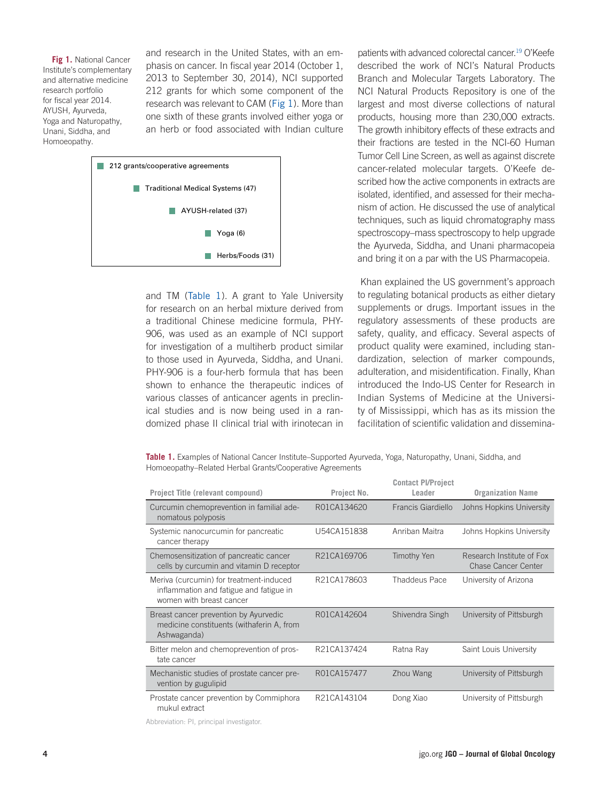<span id="page-3-0"></span>**Fig 1. National Cancer** Institute's complementary and alternative medicine research portfolio for fiscal year 2014. AYUSH, Ayurveda, Yoga and Naturopathy, Unani, Siddha, and Homoeopathy.

and research in the United States, with an emphasis on cancer. In fiscal year 2014 (October 1, 2013 to September 30, 2014), NCI supported 212 grants for which some component of the research was relevant to CAM ([Fig 1](#page-3-0)). More than one sixth of these grants involved either yoga or an herb or food associated with Indian culture



and TM ([Table 1](#page-3-1)). A grant to Yale University for research on an herbal mixture derived from a traditional Chinese medicine formula, PHY-906, was used as an example of NCI support for investigation of a multiherb product similar to those used in Ayurveda, Siddha, and Unani. PHY-906 is a four-herb formula that has been shown to enhance the therapeutic indices of various classes of anticancer agents in preclinical studies and is now being used in a randomized phase II clinical trial with irinotecan in

patients with advanced colorectal cancer[.19](#page-9-18) O'Keefe described the work of NCI's Natural Products Branch and Molecular Targets Laboratory. The NCI Natural Products Repository is one of the largest and most diverse collections of natural products, housing more than 230,000 extracts. The growth inhibitory effects of these extracts and their fractions are tested in the NCI-60 Human Tumor Cell Line Screen, as well as against discrete cancer-related molecular targets. O'Keefe described how the active components in extracts are isolated, identified, and assessed for their mechanism of action. He discussed the use of analytical techniques, such as liquid chromatography mass spectroscopy–mass spectroscopy to help upgrade the Ayurveda, Siddha, and Unani pharmacopeia and bring it on a par with the US Pharmacopeia.

 Khan explained the US government's approach to regulating botanical products as either dietary supplements or drugs. Important issues in the regulatory assessments of these products are safety, quality, and efficacy. Several aspects of product quality were examined, including standardization, selection of marker compounds, adulteration, and misidentification. Finally, Khan introduced the Indo-US Center for Research in Indian Systems of Medicine at the University of Mississippi, which has as its mission the facilitation of scientific validation and dissemina-

<span id="page-3-1"></span>**Table 1.** Examples of National Cancer Institute–Supported Ayurveda, Yoga, Naturopathy, Unani, Siddha, and Homoeopathy–Related Herbal Grants/Cooperative Agreements

|                                                                                                                |             | <b>Contact PI/Project</b> |                                                         |
|----------------------------------------------------------------------------------------------------------------|-------------|---------------------------|---------------------------------------------------------|
| Project Title (relevant compound)                                                                              | Project No. | Leader                    | <b>Organization Name</b>                                |
| Curcumin chemoprevention in familial ade-<br>nomatous polyposis                                                | R01CA134620 | Francis Giardiello        | Johns Hopkins University                                |
| Systemic nanocurcumin for pancreatic<br>cancer therapy                                                         | U54CA151838 | Anriban Maitra            | Johns Hopkins University                                |
| Chemosensitization of pancreatic cancer<br>cells by curcumin and vitamin D receptor                            | R21CA169706 | Timothy Yen               | Research Institute of Fox<br><b>Chase Cancer Center</b> |
| Meriva (curcumin) for treatment-induced<br>inflammation and fatigue and fatigue in<br>women with breast cancer | R21CA178603 | <b>Thaddeus Pace</b>      | University of Arizona                                   |
| Breast cancer prevention by Ayurvedic<br>medicine constituents (withaferin A, from<br>Ashwaganda)              | R01CA142604 | Shivendra Singh           | University of Pittsburgh                                |
| Bitter melon and chemoprevention of pros-<br>tate cancer                                                       | R21CA137424 | Ratna Ray                 | Saint Louis University                                  |
| Mechanistic studies of prostate cancer pre-<br>vention by gugulipid                                            | R01CA157477 | Zhou Wang                 | University of Pittsburgh                                |
| Prostate cancer prevention by Commiphora<br>mukul extract                                                      | R21CA143104 | Dong Xiao                 | University of Pittsburgh                                |

Abbreviation: PI, principal investigator.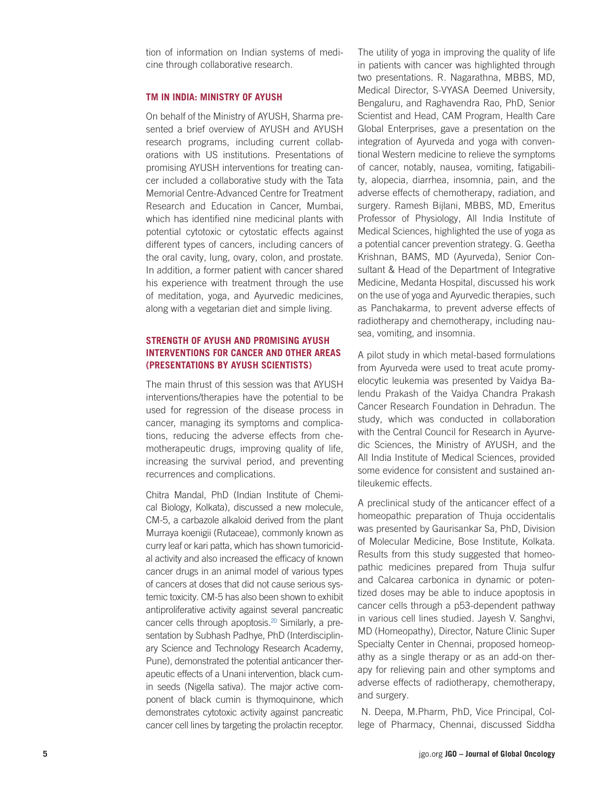tion of information on Indian systems of medi cine through collaborative research.

#### **TM IN INDIA: MINISTRY OF AYUSH**

On behalf of the Ministry of AYUSH, Sharma pre sented a brief overview of AYUSH and AYUSH research programs, including current collab orations with US institutions. Presentations of promising AYUSH interventions for treating can cer included a collaborative study with the Tata Memorial Centre-Advanced Centre for Treatment Research and Education in Cancer, Mumbai, which has identified nine medicinal plants with potential cytotoxic or cytostatic effects against different types of cancers, including cancers of the oral cavity, lung, ovary, colon, and prostate. In addition, a former patient with cancer shared his experience with treatment through the use of meditation, yoga, and Ayurvedic medicines, along with a vegetarian diet and simple living.

# **STRENGTH OF AYUSH AND PROMISING AYUSH INTERVENTIONS FOR CANCER AND OTHER AREAS (PRESENTATIONS BY AYUSH SCIENTISTS)**

The main thrust of this session was that AYUSH interventions/therapies have the potential to be used for regression of the disease process in cancer, managing its symptoms and complica tions, reducing the adverse effects from che motherapeutic drugs, improving quality of life, increasing the survival period, and preventing recurrences and complications.

Chitra Mandal, PhD (Indian Institute of Chemi cal Biology, Kolkata), discussed a new molecule, CM-5, a carbazole alkaloid derived from the plant Murraya koenigii (Rutaceae), commonly known as curry leaf or kari patta, which has shown tumoricid al activity and also increased the efficacy of known cancer drugs in an animal model of various types of cancers at doses that did not cause serious sys temic toxicity. CM-5 has also been shown to exhibit antiproliferative activity against several pancreatic cancer cells through apoptosis.<sup>20</sup> Similarly, a presentation by Subhash Padhye, PhD (Interdisciplin ary Science and Technology Research Academy, Pune), demonstrated the potential anticancer therapeutic effects of a Unani intervention, black cumin seeds (Nigella sativa). The major active component of black cumin is thymoquinone, which demonstrates cytotoxic activity against pancreatic cancer cell lines by targeting the prolactin receptor.

The utility of yoga in improving the quality of life in patients with cancer was highlighted through two presentations. R. Nagarathna, MBBS, MD, Medical Director, S-VYASA Deemed University, Bengaluru, and Raghavendra Rao, PhD, Senior Scientist and Head, CAM Program, Health Care Global Enterprises, gave a presentation on the integration of Ayurveda and yoga with conven tional Western medicine to relieve the symptoms of cancer, notably, nausea, vomiting, fatigabili ty, alopecia, diarrhea, insomnia, pain, and the adverse effects of chemotherapy, radiation, and surgery. Ramesh Bijlani, MBBS, MD, Emeritus Professor of Physiology, All India Institute of Medical Sciences, highlighted the use of yoga as a potential cancer prevention strategy. G. Geetha Krishnan, BAMS, MD (Ayurveda), Senior Con sultant & Head of the Department of Integrative Medicine, Medanta Hospital, discussed his work on the use of yoga and Ayurvedic therapies, such as Panchakarma, to prevent adverse effects of radiotherapy and chemotherapy, including nau sea, vomiting, and insomnia.

A pilot study in which metal-based formulations from Ayurveda were used to treat acute promy elocytic leukemia was presented by Vaidya Ba lendu Prakash of the Vaidya Chandra Prakash Cancer Research Foundation in Dehradun. The study, which was conducted in collaboration with the Central Council for Research in Ayurve dic Sciences, the Ministry of AYUSH, and the All India Institute of Medical Sciences, provided some evidence for consistent and sustained an tileukemic effects.

A preclinical study of the anticancer effect of a homeopathic preparation of Thuja occidentalis was presented by Gaurisankar Sa, PhD, Division of Molecular Medicine, Bose Institute, Kolkata. Results from this study suggested that homeo pathic medicines prepared from Thuja sulfur and Calcarea carbonica in dynamic or poten tized doses may be able to induce apoptosis in cancer cells through a p53-dependent pathway in various cell lines studied. Jayesh V. Sanghvi, MD (Homeopathy), Director, Nature Clinic Super Specialty Center in Chennai, proposed homeop athy as a single therapy or as an add-on ther apy for relieving pain and other symptoms and adverse effects of radiotherapy, chemotherapy, and surgery.

 N. Deepa, M.Pharm, PhD, Vice Principal, Col lege of Pharmacy, Chennai, discussed Siddha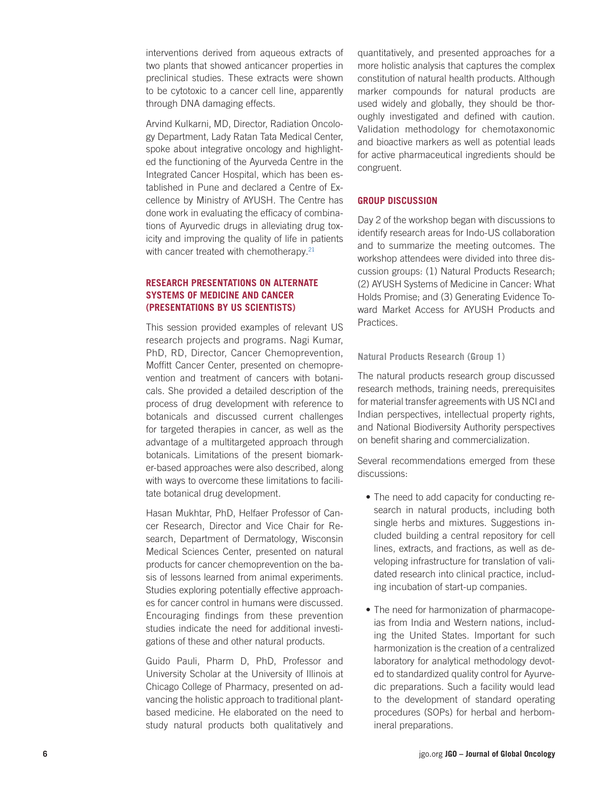interventions derived from aqueous extracts of two plants that showed anticancer properties in preclinical studies. These extracts were shown to be cytotoxic to a cancer cell line, apparently through DNA damaging effects.

Arvind Kulkarni, MD, Director, Radiation Oncolo gy Department, Lady Ratan Tata Medical Center, spoke about integrative oncology and highlight ed the functioning of the Ayurveda Centre in the Integrated Cancer Hospital, which has been es tablished in Pune and declared a Centre of Ex cellence by Ministry of AYUSH. The Centre has done work in evaluating the efficacy of combina tions of Ayurvedic drugs in alleviating drug tox icity and improving the quality of life in patients with cancer treated with chemotherapy. $21$ 

### **RESEARCH PRESENTATIONS ON ALTERNATE SYSTEMS OF MEDICINE AND CANCER (PRESENTATIONS BY US SCIENTISTS)**

This session provided examples of relevant US research projects and programs. Nagi Kumar, PhD, RD, Director, Cancer Chemoprevention, Moffitt Cancer Center, presented on chemopre vention and treatment of cancers with botani cals. She provided a detailed description of the process of drug development with reference to botanicals and discussed current challenges for targeted therapies in cancer, as well as the advantage of a multitargeted approach through botanicals. Limitations of the present biomark er-based approaches were also described, along with ways to overcome these limitations to facili tate botanical drug development.

Hasan Mukhtar, PhD, Helfaer Professor of Can cer Research, Director and Vice Chair for Re search, Department of Dermatology, Wisconsin Medical Sciences Center, presented on natural products for cancer chemoprevention on the ba sis of lessons learned from animal experiments. Studies exploring potentially effective approach es for cancer control in humans were discussed. Encouraging findings from these prevention studies indicate the need for additional investi gations of these and other natural products.

Guido Pauli, Pharm D, PhD, Professor and University Scholar at the University of Illinois at Chicago College of Pharmacy, presented on ad vancing the holistic approach to traditional plantbased medicine. He elaborated on the need to study natural products both qualitatively and

quantitatively, and presented approaches for a more holistic analysis that captures the complex constitution of natural health products. Although marker compounds for natural products are used widely and globally, they should be thor oughly investigated and defined with caution. Validation methodology for chemotaxonomic and bioactive markers as well as potential leads for active pharmaceutical ingredients should be congruent.

### **GROUP DISCUSSION**

Day 2 of the workshop began with discussions to identify research areas for Indo-US collaboration and to summarize the meeting outcomes. The workshop attendees were divided into three dis cussion groups: (1) Natural Products Research; (2) AYUSH Systems of Medicine in Cancer: What Holds Promise; and (3) Generating Evidence To ward Market Access for AYUSH Products and Practices.

#### **Natural Products Research (Group 1)**

The natural products research group discussed research methods, training needs, prerequisites for material transfer agreements with US NCI and Indian perspectives, intellectual property rights, and National Biodiversity Authority perspectives on benefit sharing and commercialization.

Several recommendations emerged from these discussions:

- The need to add capacity for conducting research in natural products, including both single herbs and mixtures. Suggestions in cluded building a central repository for cell lines, extracts, and fractions, as well as de veloping infrastructure for translation of vali dated research into clinical practice, includ ing incubation of start-up companies.
- The need for harmonization of pharmacopeias from India and Western nations, includ ing the United States. Important for such harmonization is the creation of a centralized laboratory for analytical methodology devot ed to standardized quality control for Ayurve dic preparations. Such a facility would lead to the development of standard operating procedures (SOPs) for herbal and herbom ineral preparations.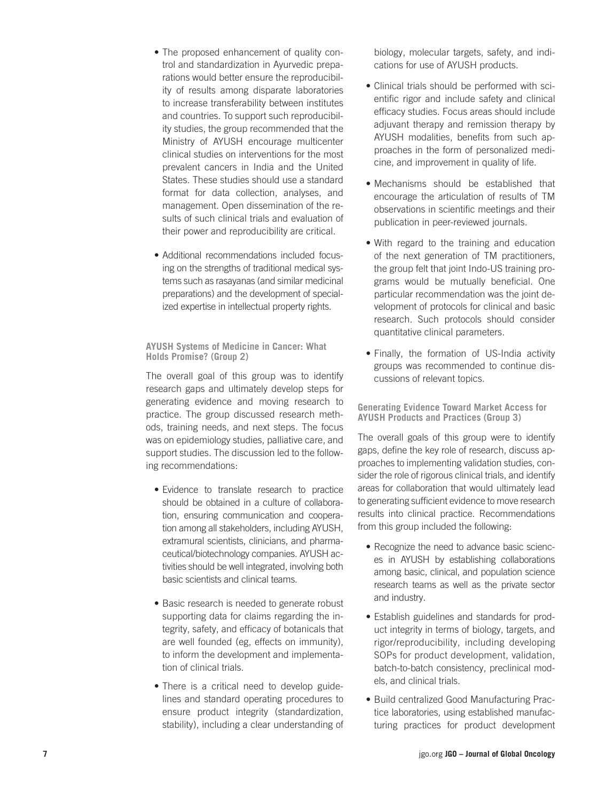- The proposed enhancement of quality control and standardization in Ayurvedic prepa rations would better ensure the reproducibil ity of results among disparate laboratories to increase transferability between institutes and countries. To support such reproducibil ity studies, the group recommended that the Ministry of AYUSH encourage multicenter clinical studies on interventions for the most prevalent cancers in India and the United States. These studies should use a standard format for data collection, analyses, and management. Open dissemination of the re sults of such clinical trials and evaluation of their power and reproducibility are critical.
- Additional recommendations included focusing on the strengths of traditional medical sys tems such as rasayanas (and similar medicinal preparations) and the development of special ized expertise in intellectual property rights.

**AYUSH Systems of Medicine in Cancer: What Holds Promise? (Group 2)**

The overall goal of this group was to identify research gaps and ultimately develop steps for generating evidence and moving research to practice. The group discussed research meth ods, training needs, and next steps. The focus was on epidemiology studies, palliative care, and support studies. The discussion led to the follow ing recommendations:

- Evidence to translate research to practice should be obtained in a culture of collabora tion, ensuring communication and coopera tion among all stakeholders, including AYUSH, extramural scientists, clinicians, and pharma ceutical/biotechnology companies. AYUSH ac tivities should be well integrated, involving both basic scientists and clinical teams.
- Basic research is needed to generate robust supporting data for claims regarding the in tegrity, safety, and efficacy of botanicals that are well founded (eg, effects on immunity), to inform the development and implementa tion of clinical trials.
- There is a critical need to develop guidelines and standard operating procedures to ensure product integrity (standardization, stability), including a clear understanding of

biology, molecular targets, safety, and indi cations for use of AYUSH products.

- Clinical trials should be performed with scientific rigor and include safety and clinical efficacy studies. Focus areas should include adjuvant therapy and remission therapy by AYUSH modalities, benefits from such ap proaches in the form of personalized medi cine, and improvement in quality of life.
- • Mechanisms should be established that encourage the articulation of results of TM observations in scientific meetings and their publication in peer-reviewed journals.
- With regard to the training and education of the next generation of TM practitioners, the group felt that joint Indo-US training pro grams would be mutually beneficial. One particular recommendation was the joint de velopment of protocols for clinical and basic research. Such protocols should consider quantitative clinical parameters.
- Finally, the formation of US-India activity groups was recommended to continue dis cussions of relevant topics.

**Generating Evidence Toward Market Access for AYUSH Products and Practices (Group 3)**

The overall goals of this group were to identify gaps, define the key role of research, discuss ap proaches to implementing validation studies, con sider the role of rigorous clinical trials, and identify areas for collaboration that would ultimately lead to generating sufficient evidence to move research results into clinical practice. Recommendations from this group included the following:

- Recognize the need to advance basic sciences in AYUSH by establishing collaborations among basic, clinical, and population science research teams as well as the private sector and industry.
- Establish guidelines and standards for product integrity in terms of biology, targets, and rigor/reproducibility, including developing SOPs for product development, validation, batch-to-batch consistency, preclinical mod els, and clinical trials.
- · Build centralized Good Manufacturing Practice laboratories, using established manufac turing practices for product development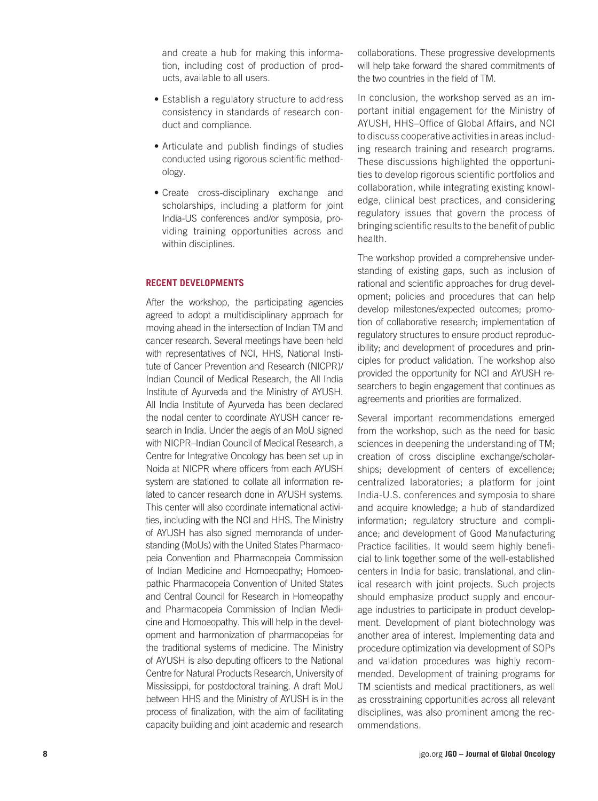and create a hub for making this information, including cost of production of products, available to all users.

- Establish a regulatory structure to address consistency in standards of research conduct and compliance.
- Articulate and publish findings of studies conducted using rigorous scientific methodology.
- • Create cross-disciplinary exchange and scholarships, including a platform for joint India-US conferences and/or symposia, providing training opportunities across and within disciplines.

### **RECENT DEVELOPMENTS**

After the workshop, the participating agencies agreed to adopt a multidisciplinary approach for moving ahead in the intersection of Indian TM and cancer research. Several meetings have been held with representatives of NCI, HHS, National Institute of Cancer Prevention and Research (NICPR)/ Indian Council of Medical Research, the All India Institute of Ayurveda and the Ministry of AYUSH. All India Institute of Ayurveda has been declared the nodal center to coordinate AYUSH cancer research in India. Under the aegis of an MoU signed with NICPR–Indian Council of Medical Research, a Centre for Integrative Oncology has been set up in Noida at NICPR where officers from each AYUSH system are stationed to collate all information related to cancer research done in AYUSH systems. This center will also coordinate international activities, including with the NCI and HHS. The Ministry of AYUSH has also signed memoranda of understanding (MoUs) with the United States Pharmacopeia Convention and Pharmacopeia Commission of Indian Medicine and Homoeopathy; Homoeopathic Pharmacopeia Convention of United States and Central Council for Research in Homeopathy and Pharmacopeia Commission of Indian Medicine and Homoeopathy. This will help in the development and harmonization of pharmacopeias for the traditional systems of medicine. The Ministry of AYUSH is also deputing officers to the National Centre for Natural Products Research, University of Mississippi, for postdoctoral training. A draft MoU between HHS and the Ministry of AYUSH is in the process of finalization, with the aim of facilitating capacity building and joint academic and research

collaborations. These progressive developments will help take forward the shared commitments of the two countries in the field of TM.

In conclusion, the workshop served as an important initial engagement for the Ministry of AYUSH, HHS–Office of Global Affairs, and NCI to discuss cooperative activities in areas including research training and research programs. These discussions highlighted the opportunities to develop rigorous scientific portfolios and collaboration, while integrating existing knowledge, clinical best practices, and considering regulatory issues that govern the process of bringing scientific results to the benefit of public health.

The workshop provided a comprehensive understanding of existing gaps, such as inclusion of rational and scientific approaches for drug development; policies and procedures that can help develop milestones/expected outcomes; promotion of collaborative research; implementation of regulatory structures to ensure product reproducibility; and development of procedures and principles for product validation. The workshop also provided the opportunity for NCI and AYUSH researchers to begin engagement that continues as agreements and priorities are formalized.

Several important recommendations emerged from the workshop, such as the need for basic sciences in deepening the understanding of TM; creation of cross discipline exchange/scholarships; development of centers of excellence; centralized laboratories; a platform for joint India-U.S. conferences and symposia to share and acquire knowledge; a hub of standardized information; regulatory structure and compliance; and development of Good Manufacturing Practice facilities. It would seem highly beneficial to link together some of the well-established centers in India for basic, translational, and clinical research with joint projects. Such projects should emphasize product supply and encourage industries to participate in product development. Development of plant biotechnology was another area of interest. Implementing data and procedure optimization via development of SOPs and validation procedures was highly recommended. Development of training programs for TM scientists and medical practitioners, as well as crosstraining opportunities across all relevant disciplines, was also prominent among the recommendations.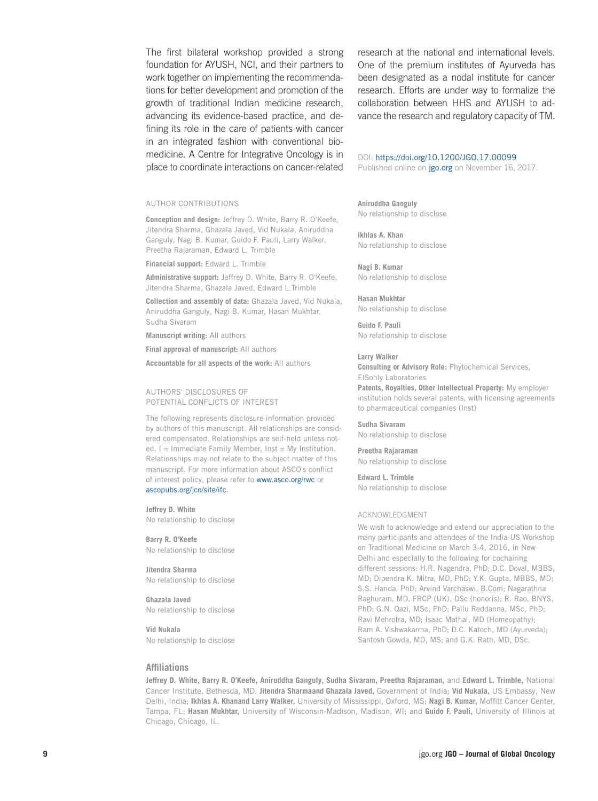The first bilateral workshop provided a strong foundation for AYUSH, NCI, and their partners to work together on implementing the recommendations for better development and promotion of the growth of traditional Indian medicine research, advancing its evidence-based practice, and defining its role in the care of patients with cancer in an integrated fashion with conventional biomedicine. A Centre for Integrative Oncology is in place to coordinate interactions on cancer-related

#### AUTHOR CONTRIBUTIONS

**Conception and design:** Jeffrey D. White, Barry R. O'Keefe, Jitendra Sharma, Ghazala Javed, Vid Nukala, Aniruddha Ganguly, Nagi B. Kumar, Guido F. Pauli, Larry Walker, Preetha Rajaraman, Edward L. Trimble

**Financial support:** Edward L. Trimble

**Administrative support:** Jeffrey D. White, Barry R. O'Keefe, Jitendra Sharma, Ghazala Javed, Edward L.Trimble

**Collection and assembly of data:** Ghazala Javed, Vid Nukala, Aniruddha Ganguly, Nagi B. Kumar, Hasan Mukhtar, Sudha Sivaram

**Manuscript writing:** All authors

**Final approval of manuscript:** All authors

**Accountable for all aspects of the work:** All authors

#### AUTHORS' DISCLOSURES OF POTENTIAL CONFLICTS OF INTEREST

The following represents disclosure information provided by authors of this manuscript. All relationships are considered compensated. Relationships are self-held unless noted.  $I =$  Immediate Family Member, Inst = My Institution. Relationships may not relate to the subject matter of this manuscript. For more information about ASCO's conflict of interest policy, please refer to <www.asco.org/rwc>or <ascopubs.org/jco/site/ifc>.

**Jeffrey D. White** No relationship to disclose

**Barry R. O'Keefe** No relationship to disclose

**Jitendra Sharma** No relationship to disclose

**Ghazala Javed** No relationship to disclose

**Vid Nukala** No relationship to disclose

research at the national and international levels. One of the premium institutes of Ayurveda has been designated as a nodal institute for cancer research. Efforts are under way to formalize the collaboration between HHS and AYUSH to advance the research and regulatory capacity of TM.

DOI: [https://doi.org/10.1200/JGO.17.00099](http://ascopubs.org/doi/full/10.1200/JGO.17.00099) Published online on [jgo.org](http://www.jgo.org) on November 16, 2017.

**Aniruddha Ganguly** No relationship to disclose

**Ikhlas A. Khan** No relationship to disclose

**Nagi B. Kumar** No relationship to disclose

**Hasan Mukhtar** No relationship to disclose

**Guido F. Pauli** No relationship to disclose

#### **Larry Walker**

**Consulting or Advisory Role:** Phytochemical Services, ElSohly Laboratories **Patents, Royalties, Other Intellectual Property:** My employer institution holds several patents, with licensing agreements to pharmaceutical companies (Inst)

**Sudha Sivaram** No relationship to disclose

**Preetha Rajaraman** No relationship to disclose

**Edward L. Trimble** No relationship to disclose

#### ACKNOWLEDGMENT

We wish to acknowledge and extend our appreciation to the many participants and attendees of the India-US Workshop on Traditional Medicine on March 3-4, 2016, in New Delhi and especially to the following for cochairing different sessions: H.R. Nagendra, PhD; D.C. Doval, MBBS, MD; Dipendra K. Mitra, MD, PhD; Y.K. Gupta, MBBS, MD; S.S. Handa, PhD; Arvind Varchaswi, B.Com; Nagarathna Raghuram, MD, FRCP (UK), DSc (honoris); R. Rao, BNYS, PhD; G.N. Qazi, MSc, PhD; Pallu Reddanna, MSc, PhD; Ravi Mehrotra, MD; Isaac Mathai, MD (Homeopathy); Ram A. Vishwakarma, PhD; D.C. Katoch, MD (Ayurveda); Santosh Gowda, MD, MS; and G.K. Rath, MD, DSc.

#### **Affiliations**

**Jeffrey D. White, Barry R. O'Keefe, Aniruddha Ganguly, Sudha Sivaram, Preetha Rajaraman,** and **Edward L. Trimble,** National Cancer Institute, Bethesda, MD; **Jitendra Sharmaand Ghazala Javed,** Government of India; **Vid Nukala,** US Embassy, New Delhi, India; **Ikhlas A. Khanand Larry Walker,** University of Mississippi, Oxford, MS; **Nagi B. Kumar,** Moffitt Cancer Center, Tampa, FL; **Hasan Mukhtar,** University of Wisconsin-Madison, Madison, WI; and **Guido F. Pauli,** University of Illinois at Chicago, Chicago, IL.